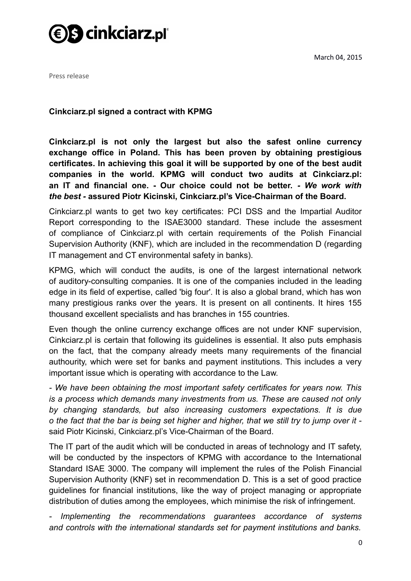



Press release

**Cinkciarz.pl signed a contract with KPMG**

**Cinkciarz.pl is not only the largest but also the safest online currency exchange office in Poland. This has been proven by obtaining prestigious certificates. In achieving this goal it will be supported by one of the best audit companies in the world. KPMG will conduct two audits at Cinkciarz.pl: an IT and financial one. - Our choice could not be better.** *- We work with the best -* **assured Piotr Kicinski, Cinkciarz.pl's Vice-Chairman of the Board.**

Cinkciarz.pl wants to get two key certificates: PCI DSS and the Impartial Auditor Report corresponding to the ISAE3000 standard. These include the assesment of compliance of Cinkciarz.pl with certain requirements of the Polish Financial Supervision Authority (KNF), which are included in the recommendation D (regarding IT management and CT environmental safety in banks).

KPMG, which will conduct the audits, is one of the largest international network of auditory-consulting companies. It is one of the companies included in the leading edge in its field of expertise, called 'big four'. It is also a global brand, which has won many prestigious ranks over the years. It is present on all continents. It hires 155 thousand excellent specialists and has branches in 155 countries.

Even though the online currency exchange offices are not under KNF supervision, Cinkciarz.pl is certain that following its guidelines is essential. It also puts emphasis on the fact, that the company already meets many requirements of the financial authourity, which were set for banks and payment institutions. This includes a very important issue which is operating with accordance to the Law.

*- We have been obtaining the most important safety certificates for years now. This is a process which demands many investments from us. These are caused not only by changing standards, but also increasing customers expectations. It is due o the fact that the bar is being set higher and higher, that we still try to jump over it*  said Piotr Kicinski, Cinkciarz.pl's Vice-Chairman of the Board.

The IT part of the audit which will be conducted in areas of technology and IT safety, will be conducted by the inspectors of KPMG with accordance to the International Standard ISAE 3000. The company will implement the rules of the Polish Financial Supervision Authority (KNF) set in recommendation D. This is a set of good practice guidelines for financial institutions, like the way of project managing or appropriate distribution of duties among the employees, which minimise the risk of infringement.

*- Implementing the recommendations guarantees accordance of systems and controls with the international standards set for payment institutions and banks.*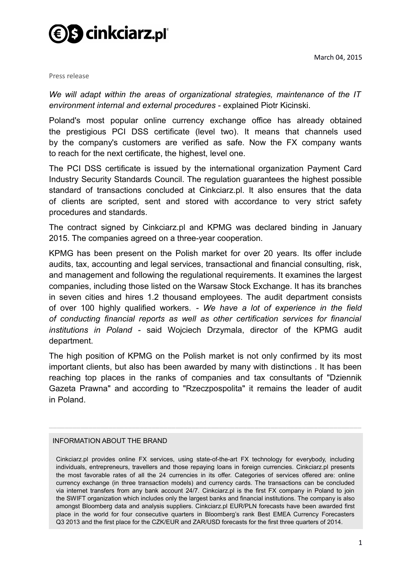

Press release

*We will adapt within the areas of organizational strategies, maintenance of the IT environment internal and external procedures -* explained Piotr Kicinski.

Poland's most popular online currency exchange office has already obtained the prestigious PCI DSS certificate (level two). It means that channels used by the company's customers are verified as safe. Now the FX company wants to reach for the next certificate, the highest, level one.

The PCI DSS certificate is issued by the international organization Payment Card Industry Security Standards Council. The regulation guarantees the highest possible standard of transactions concluded at Cinkciarz.pl. It also ensures that the data of clients are scripted, sent and stored with accordance to very strict safety procedures and standards.

The contract signed by Cinkciarz.pl and KPMG was declared binding in January 2015. The companies agreed on a three-year cooperation.

KPMG has been present on the Polish market for over 20 years. Its offer include audits, tax, accounting and legal services, transactional and financial consulting, risk, and management and following the regulational requirements. It examines the largest companies, including those listed on the Warsaw Stock Exchange. It has its branches in seven cities and hires 1.2 thousand employees. The audit department consists of over 100 highly qualified workers. *- We have a lot of experience in the field of conducting financial reports as well as other certification services for financial institutions in Poland -* said Wojciech Drzymala, director of the KPMG audit department.

The high position of KPMG on the Polish market is not only confirmed by its most important clients, but also has been awarded by many with distinctions . It has been reaching top places in the ranks of companies and tax consultants of "Dziennik Gazeta Prawna" and according to "Rzeczpospolita" it remains the leader of audit in Poland.

\_\_\_\_\_\_\_\_\_\_\_\_\_\_\_\_\_\_\_\_\_\_\_\_\_\_\_\_\_\_\_\_\_\_\_\_\_\_\_\_\_\_\_\_\_\_\_\_\_\_\_\_\_\_\_\_\_\_\_\_\_\_\_\_\_\_\_\_\_\_\_\_\_\_\_\_\_\_\_

## INFORMATION ABOUT THE BRAND

Cinkciarz.pl provides online FX services, using state-of-the-art FX technology for everybody, including individuals, entrepreneurs, travellers and those repaying loans in foreign currencies. Cinkciarz.pl presents the most favorable rates of all the 24 currencies in its offer. Categories of services offered are: online currency exchange (in three transaction models) and currency cards. The transactions can be concluded via internet transfers from any bank account 24/7. Cinkciarz.pl is the first FX company in Poland to join the SWIFT organization which includes only the largest banks and financial institutions. The company is also amongst Bloomberg data and analysis suppliers. Cinkciarz.pl EUR/PLN forecasts have been awarded first place in the world for four consecutive quarters in Bloomberg's rank Best EMEA Currency Forecasters Q3 2013 and the first place for the CZK/EUR and ZAR/USD forecasts for the first three quarters of 2014.